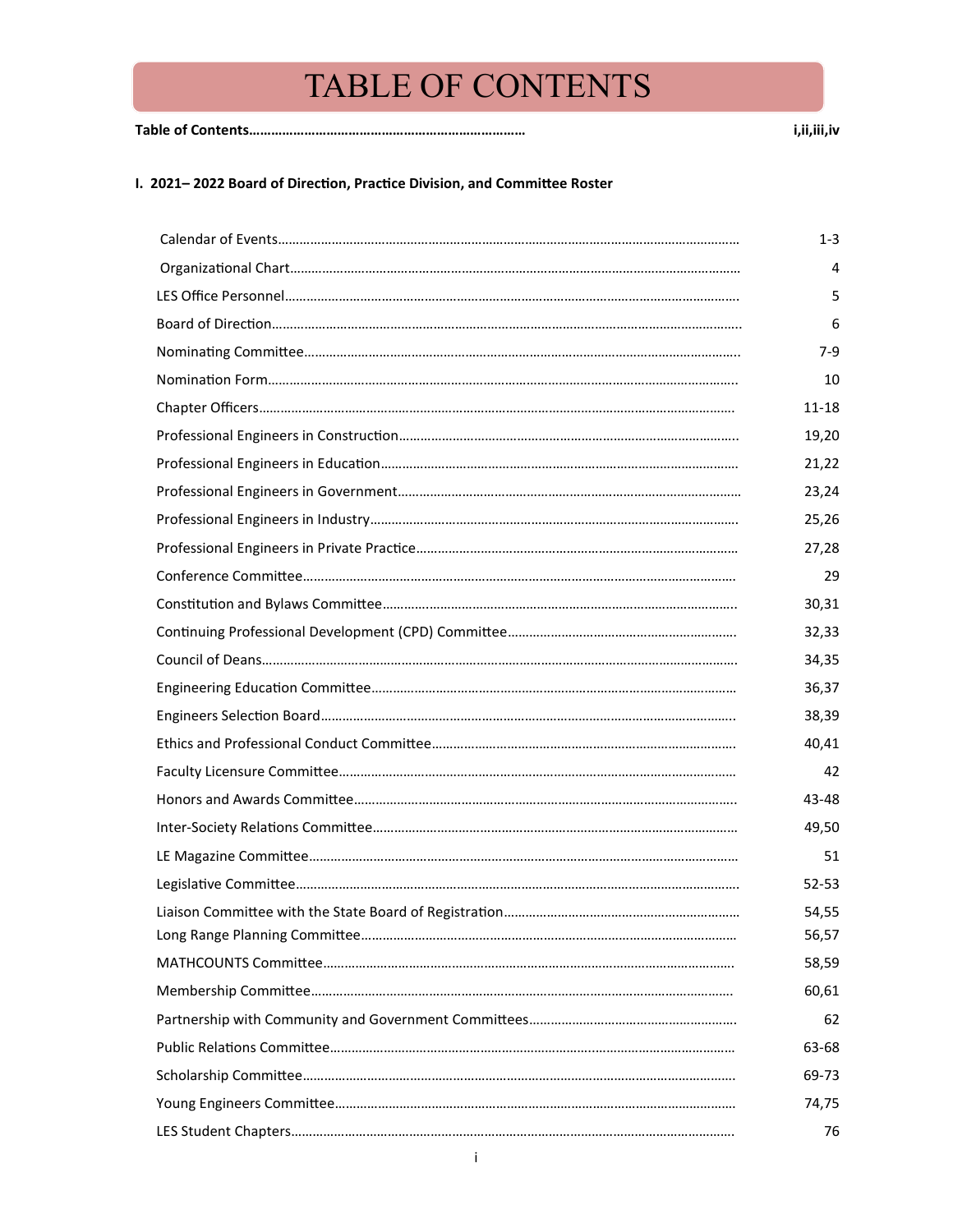**Table of Contents………………………………………………………………… i,ii,iii,iv**

#### **I. 2021– 2022 Board of Direction, Practice Division, and Committee Roster**

| $1 - 3$   |
|-----------|
| 4         |
| 5         |
| 6         |
| 7-9       |
| 10        |
| 11-18     |
| 19,20     |
| 21,22     |
| 23,24     |
| 25,26     |
| 27,28     |
| 29        |
| 30,31     |
| 32,33     |
| 34,35     |
| 36,37     |
| 38,39     |
| 40,41     |
| 42        |
| 43-48     |
| 49,50     |
| 51        |
| $52 - 53$ |
| 54,55     |
| 56,57     |
| 58,59     |
| 60,61     |
| 62        |
| 63-68     |
| 69-73     |
| 74,75     |
| 76        |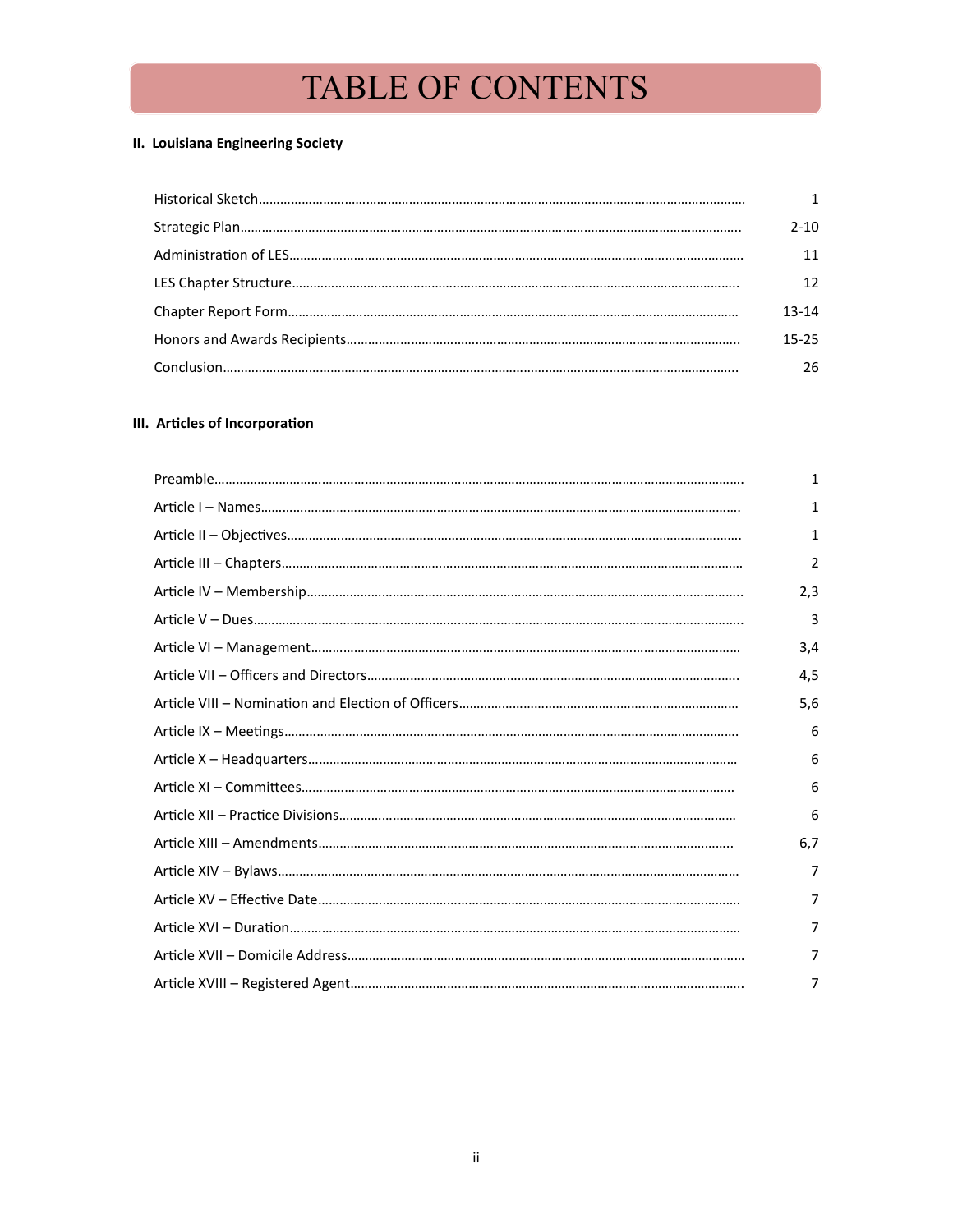## **II. Louisiana Engineering Society**

|  | 2-10. |
|--|-------|
|  |       |
|  |       |
|  | 13-14 |
|  | 15-25 |
|  | 26    |

### **III. Articles of Incorporation**

|  | $\mathbf{1}$ |
|--|--------------|
|  | 1            |
|  | 1            |
|  | 2            |
|  | 2,3          |
|  | 3            |
|  | 3,4          |
|  | 4,5          |
|  | 5,6          |
|  | 6            |
|  | 6            |
|  | 6            |
|  | 6            |
|  | 6,7          |
|  | 7            |
|  | 7            |
|  | 7            |
|  | 7            |
|  | 7            |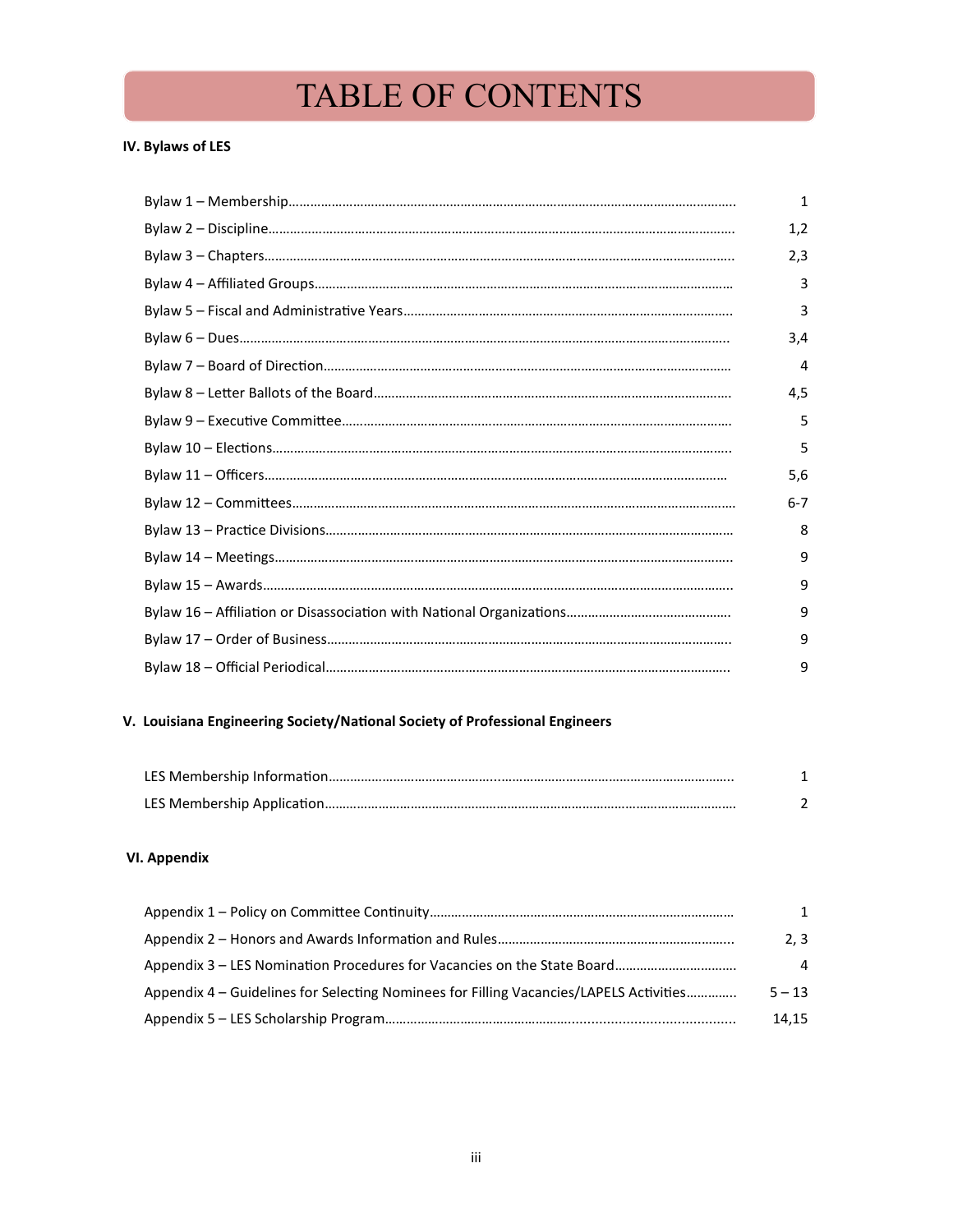### **IV. Bylaws of LES**

|  | 1       |
|--|---------|
|  | 1,2     |
|  | 2,3     |
|  | 3       |
|  | 3       |
|  | 3,4     |
|  | 4       |
|  | 4,5     |
|  | 5       |
|  | 5       |
|  | 5,6     |
|  | $6 - 7$ |
|  | 8       |
|  | 9       |
|  | 9       |
|  | 9       |
|  | 9       |
|  | 9       |

## **V. Louisiana Engineering Society/National Society of Professional Engineers**

#### **VI. Appendix**

|                                                                                        | 1        |
|----------------------------------------------------------------------------------------|----------|
|                                                                                        | 2,3      |
|                                                                                        | 4        |
| Appendix 4 - Guidelines for Selecting Nominees for Filling Vacancies/LAPELS Activities | $5 - 13$ |
|                                                                                        | 14.15    |